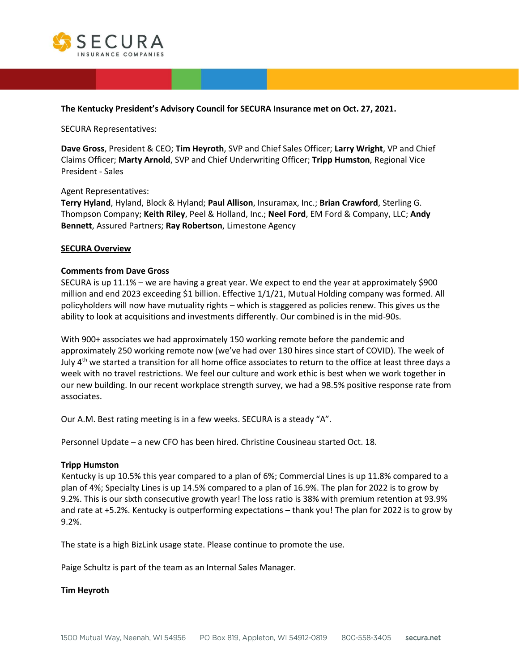

### **The Kentucky President's Advisory Council for SECURA Insurance met on Oct. 27, 2021.**

SECURA Representatives:

**Dave Gross**, President & CEO; **Tim Heyroth**, SVP and Chief Sales Officer; **Larry Wright**, VP and Chief Claims Officer; **Marty Arnold**, SVP and Chief Underwriting Officer; **Tripp Humston**, Regional Vice President - Sales

#### Agent Representatives:

**Terry Hyland**, Hyland, Block & Hyland; **Paul Allison**, Insuramax, Inc.; **Brian Crawford**, Sterling G. Thompson Company; **Keith Riley**, Peel & Holland, Inc.; **Neel Ford**, EM Ford & Company, LLC; **Andy Bennett**, Assured Partners; **Ray Robertson**, Limestone Agency

#### **SECURA Overview**

### **Comments from Dave Gross**

SECURA is up 11.1% – we are having a great year. We expect to end the year at approximately \$900 million and end 2023 exceeding \$1 billion. Effective 1/1/21, Mutual Holding company was formed. All policyholders will now have mutuality rights – which is staggered as policies renew. This gives us the ability to look at acquisitions and investments differently. Our combined is in the mid-90s.

With 900+ associates we had approximately 150 working remote before the pandemic and approximately 250 working remote now (we've had over 130 hires since start of COVID). The week of July  $4<sup>th</sup>$  we started a transition for all home office associates to return to the office at least three days a week with no travel restrictions. We feel our culture and work ethic is best when we work together in our new building. In our recent workplace strength survey, we had a 98.5% positive response rate from associates.

Our A.M. Best rating meeting is in a few weeks. SECURA is a steady "A".

Personnel Update – a new CFO has been hired. Christine Cousineau started Oct. 18.

#### **Tripp Humston**

Kentucky is up 10.5% this year compared to a plan of 6%; Commercial Lines is up 11.8% compared to a plan of 4%; Specialty Lines is up 14.5% compared to a plan of 16.9%. The plan for 2022 is to grow by 9.2%. This is our sixth consecutive growth year! The loss ratio is 38% with premium retention at 93.9% and rate at +5.2%. Kentucky is outperforming expectations – thank you! The plan for 2022 is to grow by 9.2%.

The state is a high BizLink usage state. Please continue to promote the use.

Paige Schultz is part of the team as an Internal Sales Manager.

### **Tim Heyroth**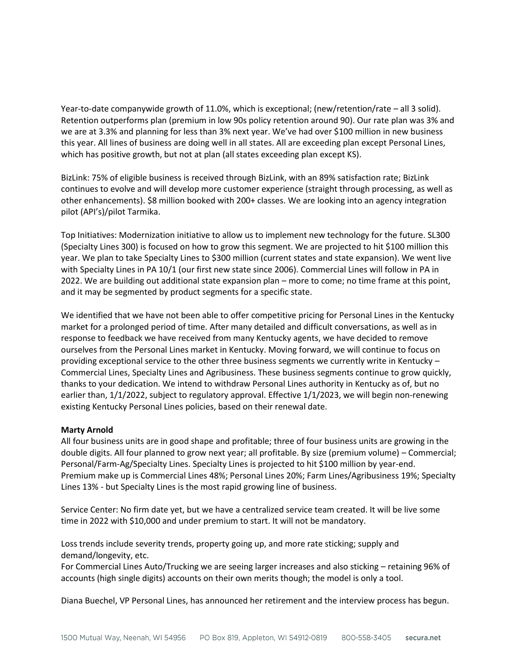Year-to-date companywide growth of 11.0%, which is exceptional; (new/retention/rate – all 3 solid). Retention outperforms plan (premium in low 90s policy retention around 90). Our rate plan was 3% and we are at 3.3% and planning for less than 3% next year. We've had over \$100 million in new business this year. All lines of business are doing well in all states. All are exceeding plan except Personal Lines, which has positive growth, but not at plan (all states exceeding plan except KS).

BizLink: 75% of eligible business is received through BizLink, with an 89% satisfaction rate; BizLink continues to evolve and will develop more customer experience (straight through processing, as well as other enhancements). \$8 million booked with 200+ classes. We are looking into an agency integration pilot (API's)/pilot Tarmika.

Top Initiatives: Modernization initiative to allow us to implement new technology for the future. SL300 (Specialty Lines 300) is focused on how to grow this segment. We are projected to hit \$100 million this year. We plan to take Specialty Lines to \$300 million (current states and state expansion). We went live with Specialty Lines in PA 10/1 (our first new state since 2006). Commercial Lines will follow in PA in 2022. We are building out additional state expansion plan – more to come; no time frame at this point, and it may be segmented by product segments for a specific state.

We identified that we have not been able to offer competitive pricing for Personal Lines in the Kentucky market for a prolonged period of time. After many detailed and difficult conversations, as well as in response to feedback we have received from many Kentucky agents, we have decided to remove ourselves from the Personal Lines market in Kentucky. Moving forward, we will continue to focus on providing exceptional service to the other three business segments we currently write in Kentucky – Commercial Lines, Specialty Lines and Agribusiness. These business segments continue to grow quickly, thanks to your dedication. We intend to withdraw Personal Lines authority in Kentucky as of, but no earlier than, 1/1/2022, subject to regulatory approval. Effective 1/1/2023, we will begin non-renewing existing Kentucky Personal Lines policies, based on their renewal date.

### **Marty Arnold**

All four business units are in good shape and profitable; three of four business units are growing in the double digits. All four planned to grow next year; all profitable. By size (premium volume) – Commercial; Personal/Farm-Ag/Specialty Lines. Specialty Lines is projected to hit \$100 million by year-end. Premium make up is Commercial Lines 48%; Personal Lines 20%; Farm Lines/Agribusiness 19%; Specialty Lines 13% - but Specialty Lines is the most rapid growing line of business.

Service Center: No firm date yet, but we have a centralized service team created. It will be live some time in 2022 with \$10,000 and under premium to start. It will not be mandatory.

Loss trends include severity trends, property going up, and more rate sticking; supply and demand/longevity, etc.

For Commercial Lines Auto/Trucking we are seeing larger increases and also sticking – retaining 96% of accounts (high single digits) accounts on their own merits though; the model is only a tool.

Diana Buechel, VP Personal Lines, has announced her retirement and the interview process has begun.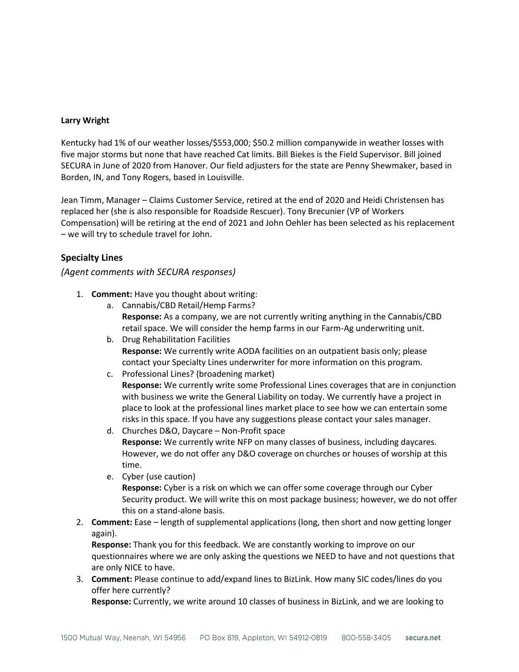### **Larry Wright**

Kentucky had 1% of our weather losses/\$553,000; \$50.2 million companywide in weather losses with five major storms but none that have reached Cat limits. Bill Biekes is the Field Supervisor. Bill joined SECURA in June of 2020 from Hanover. Our field adjusters for the state are Penny Shewmaker, based in Borden, IN, and Tony Rogers, based in Louisville.

Jean Timm, Manager – Claims Customer Service, retired at the end of 2020 and Heidi Christensen has replaced her (she is also responsible for Roadside Rescuer). Tony Brecunier (VP of Workers Compensation) will be retiring at the end of 2021 and John Oehler has been selected as his replacement – we will try to schedule travel for John.

## **Specialty Lines**

### *(Agent comments with SECURA responses)*

- 1. **Comment:** Have you thought about writing:
	- a. Cannabis/CBD Retail/Hemp Farms? **Response:** As a company, we are not currently writing anything in the Cannabis/CBD retail space. We will consider the hemp farms in our Farm-Ag underwriting unit.
	- b. Drug Rehabilitation Facilities **Response:** We currently write AODA facilities on an outpatient basis only; please contact your Specialty Lines underwriter for more information on this program.
	- c. Professional Lines? (broadening market) **Response:** We currently write some Professional Lines coverages that are in conjunction with business we write the General Liability on today. We currently have a project in place to look at the professional lines market place to see how we can entertain some risks in this space. If you have any suggestions please contact your sales manager.
	- d. Churches D&O, Daycare Non-Profit space **Response:** We currently write NFP on many classes of business, including daycares. However, we do not offer any D&O coverage on churches or houses of worship at this time.
	- e. Cyber (use caution) **Response:** Cyber is a risk on which we can offer some coverage through our Cyber Security product. We will write this on most package business; however, we do not offer this on a stand-alone basis.
- 2. **Comment:** Ease length of supplemental applications (long, then short and now getting longer again).

**Response:** Thank you for this feedback. We are constantly working to improve on our questionnaires where we are only asking the questions we NEED to have and not questions that are only NICE to have.

3. **Comment:** Please continue to add/expand lines to BizLink. How many SIC codes/lines do you offer here currently?

**Response:** Currently, we write around 10 classes of business in BizLink, and we are looking to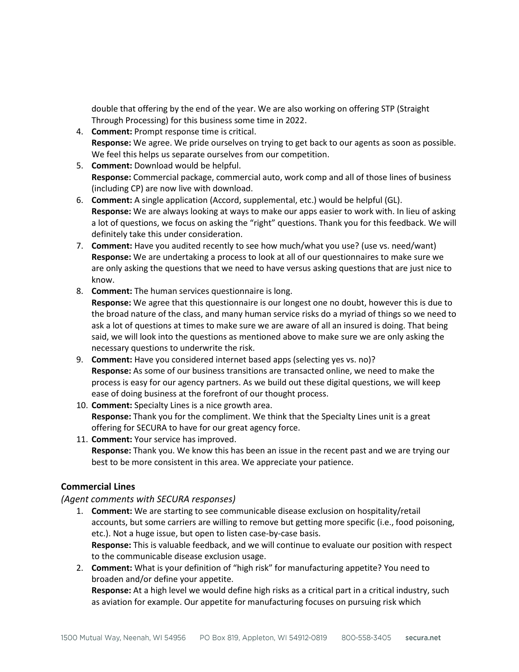double that offering by the end of the year. We are also working on offering STP (Straight Through Processing) for this business some time in 2022.

- 4. **Comment:** Prompt response time is critical. **Response:** We agree. We pride ourselves on trying to get back to our agents as soon as possible. We feel this helps us separate ourselves from our competition.
- 5. **Comment:** Download would be helpful. **Response:** Commercial package, commercial auto, work comp and all of those lines of business (including CP) are now live with download.
- 6. **Comment:** A single application (Accord, supplemental, etc.) would be helpful (GL). **Response:** We are always looking at ways to make our apps easier to work with. In lieu of asking a lot of questions, we focus on asking the "right" questions. Thank you for this feedback. We will definitely take this under consideration.
- 7. **Comment:** Have you audited recently to see how much/what you use? (use vs. need/want) **Response:** We are undertaking a process to look at all of our questionnaires to make sure we are only asking the questions that we need to have versus asking questions that are just nice to know.
- 8. **Comment:** The human services questionnaire is long. **Response:** We agree that this questionnaire is our longest one no doubt, however this is due to the broad nature of the class, and many human service risks do a myriad of things so we need to ask a lot of questions at times to make sure we are aware of all an insured is doing. That being said, we will look into the questions as mentioned above to make sure we are only asking the necessary questions to underwrite the risk.
- 9. **Comment:** Have you considered internet based apps (selecting yes vs. no)? **Response:** As some of our business transitions are transacted online, we need to make the process is easy for our agency partners. As we build out these digital questions, we will keep ease of doing business at the forefront of our thought process.
- 10. **Comment:** Specialty Lines is a nice growth area. **Response:** Thank you for the compliment. We think that the Specialty Lines unit is a great offering for SECURA to have for our great agency force.
- 11. **Comment:** Your service has improved. **Response:** Thank you. We know this has been an issue in the recent past and we are trying our best to be more consistent in this area. We appreciate your patience.

# **Commercial Lines**

# *(Agent comments with SECURA responses)*

- 1. **Comment:** We are starting to see communicable disease exclusion on hospitality/retail accounts, but some carriers are willing to remove but getting more specific (i.e., food poisoning, etc.). Not a huge issue, but open to listen case-by-case basis. **Response:** This is valuable feedback, and we will continue to evaluate our position with respect to the communicable disease exclusion usage.
- 2. **Comment:** What is your definition of "high risk" for manufacturing appetite? You need to broaden and/or define your appetite. **Response:** At a high level we would define high risks as a critical part in a critical industry, such as aviation for example. Our appetite for manufacturing focuses on pursuing risk which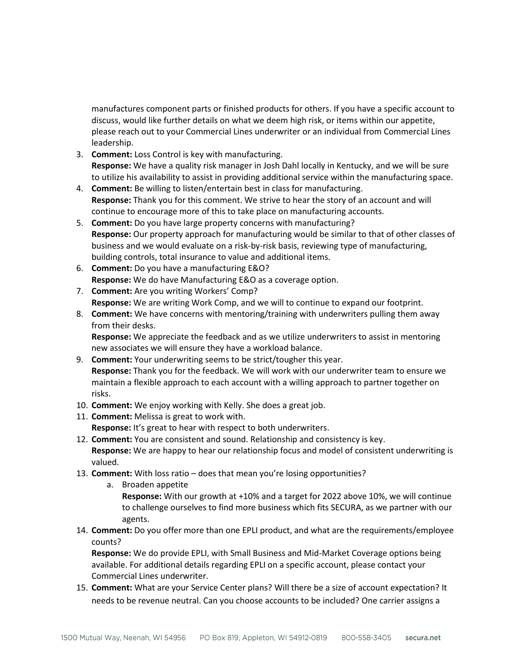manufactures component parts or finished products for others. If you have a specific account to discuss, would like further details on what we deem high risk, or items within our appetite, please reach out to your Commercial Lines underwriter or an individual from Commercial Lines leadership.

- 3. **Comment:** Loss Control is key with manufacturing. **Response:** We have a quality risk manager in Josh Dahl locally in Kentucky, and we will be sure to utilize his availability to assist in providing additional service within the manufacturing space.
- 4. **Comment:** Be willing to listen/entertain best in class for manufacturing. **Response:** Thank you for this comment. We strive to hear the story of an account and will continue to encourage more of this to take place on manufacturing accounts.
- 5. **Comment:** Do you have large property concerns with manufacturing? **Response:** Our property approach for manufacturing would be similar to that of other classes of business and we would evaluate on a risk-by-risk basis, reviewing type of manufacturing, building controls, total insurance to value and additional items.
- 6. **Comment:** Do you have a manufacturing E&O? **Response:** We do have Manufacturing E&O as a coverage option.
- 7. **Comment:** Are you writing Workers' Comp? **Response:** We are writing Work Comp, and we will to continue to expand our footprint.
- 8. **Comment:** We have concerns with mentoring/training with underwriters pulling them away from their desks.

**Response:** We appreciate the feedback and as we utilize underwriters to assist in mentoring new associates we will ensure they have a workload balance.

- 9. **Comment:** Your underwriting seems to be strict/tougher this year. **Response:** Thank you for the feedback. We will work with our underwriter team to ensure we maintain a flexible approach to each account with a willing approach to partner together on risks.
- 10. **Comment:** We enjoy working with Kelly. She does a great job.
- 11. **Comment:** Melissa is great to work with. **Response:** It's great to hear with respect to both underwriters.
- 12. **Comment:** You are consistent and sound. Relationship and consistency is key. **Response:** We are happy to hear our relationship focus and model of consistent underwriting is valued.
- 13. **Comment:** With loss ratio does that mean you're losing opportunities?
	- a. Broaden appetite **Response:** With our growth at +10% and a target for 2022 above 10%, we will continue to challenge ourselves to find more business which fits SECURA, as we partner with our agents.
- 14. **Comment:** Do you offer more than one EPLI product, and what are the requirements/employee counts?

**Response:** We do provide EPLI, with Small Business and Mid-Market Coverage options being available. For additional details regarding EPLI on a specific account, please contact your Commercial Lines underwriter.

15. **Comment:** What are your Service Center plans? Will there be a size of account expectation? It needs to be revenue neutral. Can you choose accounts to be included? One carrier assigns a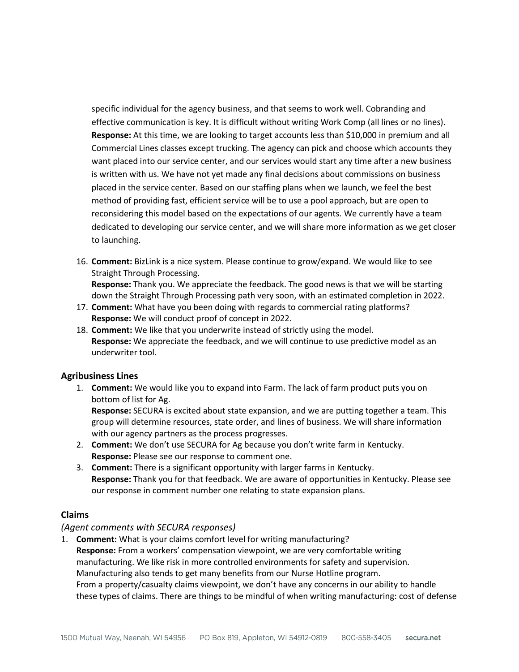specific individual for the agency business, and that seems to work well. Cobranding and effective communication is key. It is difficult without writing Work Comp (all lines or no lines). **Response:** At this time, we are looking to target accounts less than \$10,000 in premium and all Commercial Lines classes except trucking. The agency can pick and choose which accounts they want placed into our service center, and our services would start any time after a new business is written with us. We have not yet made any final decisions about commissions on business placed in the service center. Based on our staffing plans when we launch, we feel the best method of providing fast, efficient service will be to use a pool approach, but are open to reconsidering this model based on the expectations of our agents. We currently have a team dedicated to developing our service center, and we will share more information as we get closer to launching.

- 16. **Comment:** BizLink is a nice system. Please continue to grow/expand. We would like to see Straight Through Processing. **Response:** Thank you. We appreciate the feedback. The good news is that we will be starting down the Straight Through Processing path very soon, with an estimated completion in 2022.
- 17. **Comment:** What have you been doing with regards to commercial rating platforms? **Response:** We will conduct proof of concept in 2022.
- 18. **Comment:** We like that you underwrite instead of strictly using the model. **Response:** We appreciate the feedback, and we will continue to use predictive model as an underwriter tool.

### **Agribusiness Lines**

1. **Comment:** We would like you to expand into Farm. The lack of farm product puts you on bottom of list for Ag.

**Response:** SECURA is excited about state expansion, and we are putting together a team. This group will determine resources, state order, and lines of business. We will share information with our agency partners as the process progresses.

- 2. **Comment:** We don't use SECURA for Ag because you don't write farm in Kentucky. **Response:** Please see our response to comment one.
- 3. **Comment:** There is a significant opportunity with larger farms in Kentucky. **Response:** Thank you for that feedback. We are aware of opportunities in Kentucky. Please see our response in comment number one relating to state expansion plans.

# **Claims**

### *(Agent comments with SECURA responses)*

1. **Comment:** What is your claims comfort level for writing manufacturing? **Response:** From a workers' compensation viewpoint, we are very comfortable writing manufacturing. We like risk in more controlled environments for safety and supervision. Manufacturing also tends to get many benefits from our Nurse Hotline program. From a property/casualty claims viewpoint, we don't have any concerns in our ability to handle these types of claims. There are things to be mindful of when writing manufacturing: cost of defense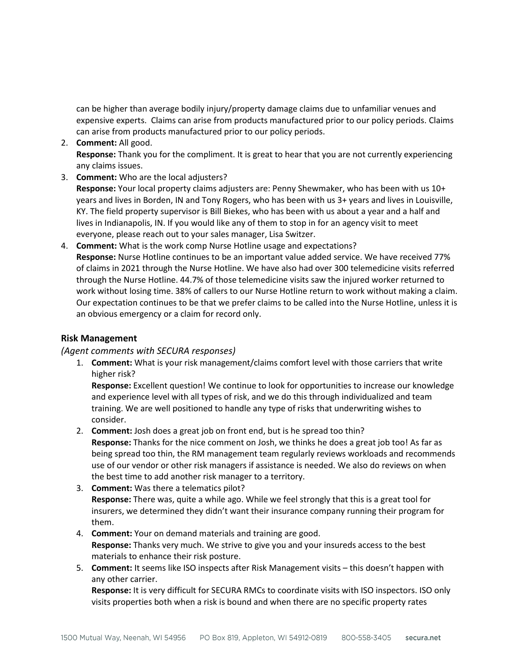can be higher than average bodily injury/property damage claims due to unfamiliar venues and expensive experts. Claims can arise from products manufactured prior to our policy periods. Claims can arise from products manufactured prior to our policy periods.

- 2. **Comment:** All good. **Response:** Thank you for the compliment. It is great to hear that you are not currently experiencing any claims issues.
- 3. **Comment:** Who are the local adjusters? **Response:** Your local property claims adjusters are: Penny Shewmaker, who has been with us 10+ years and lives in Borden, IN and Tony Rogers, who has been with us 3+ years and lives in Louisville, KY. The field property supervisor is Bill Biekes, who has been with us about a year and a half and lives in Indianapolis, IN. If you would like any of them to stop in for an agency visit to meet everyone, please reach out to your sales manager, Lisa Switzer.
- 4. **Comment:** What is the work comp Nurse Hotline usage and expectations? **Response:** Nurse Hotline continues to be an important value added service. We have received 77% of claims in 2021 through the Nurse Hotline. We have also had over 300 telemedicine visits referred through the Nurse Hotline. 44.7% of those telemedicine visits saw the injured worker returned to work without losing time. 38% of callers to our Nurse Hotline return to work without making a claim. Our expectation continues to be that we prefer claims to be called into the Nurse Hotline, unless it is an obvious emergency or a claim for record only.

## **Risk Management**

### *(Agent comments with SECURA responses)*

1. **Comment:** What is your risk management/claims comfort level with those carriers that write higher risk?

**Response:** Excellent question! We continue to look for opportunities to increase our knowledge and experience level with all types of risk, and we do this through individualized and team training. We are well positioned to handle any type of risks that underwriting wishes to consider.

- 2. **Comment:** Josh does a great job on front end, but is he spread too thin? **Response:** Thanks for the nice comment on Josh, we thinks he does a great job too! As far as being spread too thin, the RM management team regularly reviews workloads and recommends use of our vendor or other risk managers if assistance is needed. We also do reviews on when the best time to add another risk manager to a territory.
- 3. **Comment:** Was there a telematics pilot? **Response:** There was, quite a while ago. While we feel strongly that this is a great tool for insurers, we determined they didn't want their insurance company running their program for them.
- 4. **Comment:** Your on demand materials and training are good. **Response:** Thanks very much. We strive to give you and your insureds access to the best materials to enhance their risk posture.
- 5. **Comment:** It seems like ISO inspects after Risk Management visits this doesn't happen with any other carrier.

**Response:** It is very difficult for SECURA RMCs to coordinate visits with ISO inspectors. ISO only visits properties both when a risk is bound and when there are no specific property rates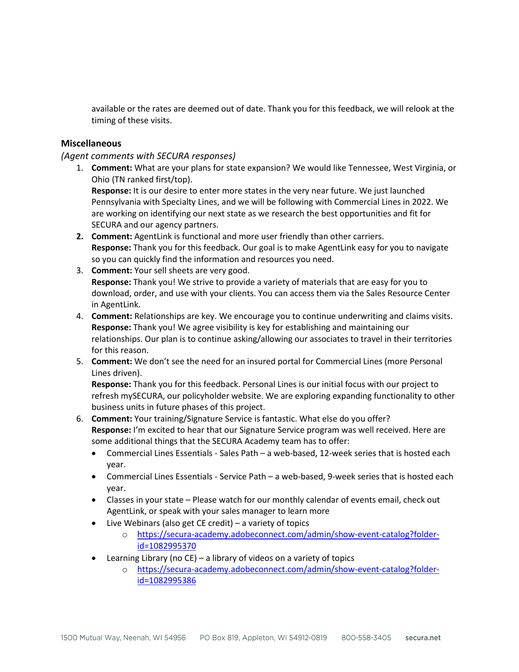available or the rates are deemed out of date. Thank you for this feedback, we will relook at the timing of these visits.

## **Miscellaneous**

## *(Agent comments with SECURA responses)*

1. **Comment:** What are your plans for state expansion? We would like Tennessee, West Virginia, or Ohio (TN ranked first/top).

**Response:** It is our desire to enter more states in the very near future. We just launched Pennsylvania with Specialty Lines, and we will be following with Commercial Lines in 2022. We are working on identifying our next state as we research the best opportunities and fit for SECURA and our agency partners.

- **2. Comment:** AgentLink is functional and more user friendly than other carriers. **Response:** Thank you for this feedback. Our goal is to make AgentLink easy for you to navigate so you can quickly find the information and resources you need.
- 3. **Comment:** Your sell sheets are very good. **Response:** Thank you! We strive to provide a variety of materials that are easy for you to download, order, and use with your clients. You can access them via the Sales Resource Center in AgentLink.
- 4. **Comment:** Relationships are key. We encourage you to continue underwriting and claims visits. **Response:** Thank you! We agree visibility is key for establishing and maintaining our relationships. Our plan is to continue asking/allowing our associates to travel in their territories for this reason.
- 5. **Comment:** We don't see the need for an insured portal for Commercial Lines (more Personal Lines driven).

**Response:** Thank you for this feedback. Personal Lines is our initial focus with our project to refresh mySECURA, our policyholder website. We are exploring expanding functionality to other business units in future phases of this project.

- 6. **Comment:** Your training/Signature Service is fantastic. What else do you offer? **Response:** I'm excited to hear that our Signature Service program was well received. Here are some additional things that the SECURA Academy team has to offer:
	- Commercial Lines Essentials Sales Path a web-based, 12-week series that is hosted each year.
	- Commercial Lines Essentials Service Path a web-based, 9-week series that is hosted each year.
	- Classes in your state Please watch for our monthly calendar of events email, check out AgentLink, or speak with your sales manager to learn more
	- Live Webinars (also get CE credit) a variety of topics
		- o [https://secura-academy.adobeconnect.com/admin/show-event-catalog?folder](https://secura-academy.adobeconnect.com/admin/show-event-catalog?folder-id=1082995370)[id=1082995370](https://secura-academy.adobeconnect.com/admin/show-event-catalog?folder-id=1082995370)
	- Learning Library (no CE) a library of videos on a variety of topics
		- o [https://secura-academy.adobeconnect.com/admin/show-event-catalog?folder](https://secura-academy.adobeconnect.com/admin/show-event-catalog?folder-id=1082995386)[id=1082995386](https://secura-academy.adobeconnect.com/admin/show-event-catalog?folder-id=1082995386)